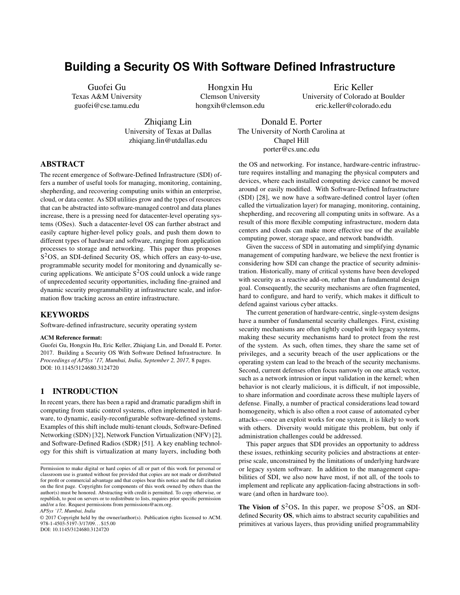# **Building a Security OS With Software Defined Infrastructure**

Guofei Gu Texas A&M University guofei@cse.tamu.edu

> Zhiqiang Lin University of Texas at Dallas zhiqiang.lin@utdallas.edu

Hongxin Hu Clemson University hongxih@clemson.edu

Eric Keller University of Colorado at Boulder eric.keller@colorado.edu

Donald E. Porter The University of North Carolina at Chapel Hill porter@cs.unc.edu

#### ABSTRACT

The recent emergence of Software-Defined Infrastructure (SDI) offers a number of useful tools for managing, monitoring, containing, shepherding, and recovering computing units within an enterprise, cloud, or data center. As SDI utilities grow and the types of resources that can be abstracted into software-managed control and data planes increase, there is a pressing need for datacenter-level operating systems (OSes). Such a datacenter-level OS can further abstract and easily capture higher-level policy goals, and push them down to different types of hardware and software, ranging from application processes to storage and networking. This paper thus proposes S <sup>2</sup>OS, an SDI-defined Security OS, which offers an easy-to-use, programmable security model for monitoring and dynamically securing applications. We anticipate  $S^2OS$  could unlock a wide range of unprecedented security opportunities, including fine-grained and dynamic security programmability at infrastructure scale, and information flow tracking across an entire infrastructure.

#### **KEYWORDS**

Software-defined infrastructure, security operating system

#### ACM Reference format:

Guofei Gu, Hongxin Hu, Eric Keller, Zhiqiang Lin, and Donald E. Porter. 2017. Building a Security OS With Software Defined Infrastructure. In *Proceedings of APSys '17, Mumbai, India, September 2, 2017,* [8](#page-7-0) pages. DOI: 10.1145/3124680.3124720

#### 1 INTRODUCTION

In recent years, there has been a rapid and dramatic paradigm shift in computing from static control systems, often implemented in hardware, to dynamic, easily-reconfigurable software-defined systems. Examples of this shift include multi-tenant clouds, Software-Defined Networking (SDN) [\[32\]](#page-7-1), Network Function Virtualization (NFV) [\[2\]](#page-6-0), and Software-Defined Radios (SDR) [\[51\]](#page-7-2). A key enabling technology for this shift is virtualization at many layers, including both

*APSys '17, Mumbai, India*

© 2017 Copyright held by the owner/author(s). Publication rights licensed to ACM. 978-1-4503-5197-3/17/09. . . \$15.00 DOI: 10.1145/3124680.3124720

the OS and networking. For instance, hardware-centric infrastructure requires installing and managing the physical computers and devices, where each installed computing device cannot be moved around or easily modified. With Software-Defined Infrastructure (SDI) [\[28\]](#page-7-3), we now have a software-defined control layer (often called the virtualization layer) for managing, monitoring, containing, shepherding, and recovering all computing units in software. As a result of this more flexible computing infrastructure, modern data centers and clouds can make more effective use of the available computing power, storage space, and network bandwidth.

Given the success of SDI in automating and simplifying dynamic management of computing hardware, we believe the next frontier is considering how SDI can change the practice of security administration. Historically, many of critical systems have been developed with security as a reactive add-on, rather than a fundamental design goal. Consequently, the security mechanisms are often fragmented, hard to configure, and hard to verify, which makes it difficult to defend against various cyber attacks.

The current generation of hardware-centric, single-system designs have a number of fundamental security challenges. First, existing security mechanisms are often tightly coupled with legacy systems, making these security mechanisms hard to protect from the rest of the system. As such, often times, they share the same set of privileges, and a security breach of the user applications or the operating system can lead to the breach of the security mechanisms. Second, current defenses often focus narrowly on one attack vector, such as a network intrusion or input validation in the kernel; when behavior is not clearly malicious, it is difficult, if not impossible, to share information and coordinate across these multiple layers of defense. Finally, a number of practical considerations lead toward homogeneity, which is also often a root cause of automated cyber attacks—once an exploit works for one system, it is likely to work with others. Diversity would mitigate this problem, but only if administration challenges could be addressed.

This paper argues that SDI provides an opportunity to address these issues, rethinking security policies and abstractions at enterprise scale, unconstrained by the limitations of underlying hardware or legacy system software. In addition to the management capabilities of SDI, we also now have most, if not all, of the tools to implement and replicate any application-facing abstractions in software (and often in hardware too).

The Vision of  $S^2OS$ . In this paper, we propose  $S^2OS$ , an SDIdefined Security OS, which aims to abstract security capabilities and primitives at various layers, thus providing unified programmability

Permission to make digital or hard copies of all or part of this work for personal or classroom use is granted without fee provided that copies are not made or distributed for profit or commercial advantage and that copies bear this notice and the full citation on the first page. Copyrights for components of this work owned by others than the author(s) must be honored. Abstracting with credit is permitted. To copy otherwise, or republish, to post on servers or to redistribute to lists, requires prior specific permission and/or a fee. Request permissions from permissions@acm.org.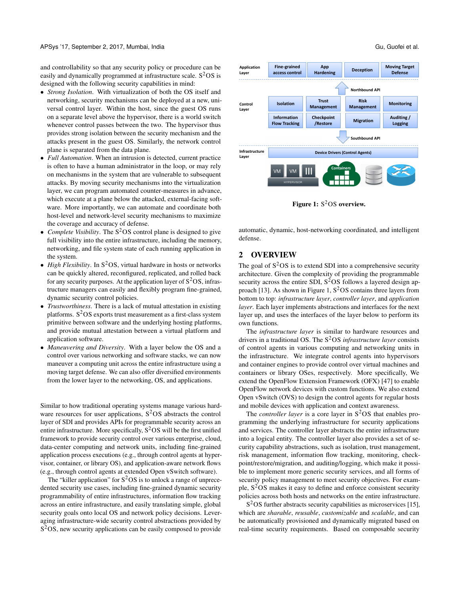APSys '17, September 2, 2017, Mumbai, India Guida Guida Guida Guida Guida Guida Guida Guida Guida Guida Guida Guida Guida Guida Guida Guida Guida Guida Guida Guida Guida Guida Guida Guida Guida Guida Guida Guida Guida Guid

and controllability so that any security policy or procedure can be easily and dynamically programmed at infrastructure scale. S<sup>2</sup>OS is designed with the following security capabilities in mind:

- *Strong Isolation*. With virtualization of both the OS itself and networking, security mechanisms can be deployed at a new, universal control layer. Within the host, since the guest OS runs on a separate level above the hypervisor, there is a world switch whenever control passes between the two. The hypervisor thus provides strong isolation between the security mechanism and the attacks present in the guest OS. Similarly, the network control plane is separated from the data plane.
- *Full Automation*. When an intrusion is detected, current practice is often to have a human administrator in the loop, or may rely on mechanisms in the system that are vulnerable to subsequent attacks. By moving security mechanisms into the virtualization layer, we can program automated counter-measures in advance, which execute at a plane below the attacked, external-facing software. More importantly, we can automate and coordinate both host-level and network-level security mechanisms to maximize the coverage and accuracy of defense.
- *Complete Visibility*. The S <sup>2</sup>OS control plane is designed to give full visibility into the entire infrastructure, including the memory, networking, and file system state of each running application in the system.
- *High Flexibility*. In S <sup>2</sup>OS, virtual hardware in hosts or networks can be quickly altered, reconfigured, replicated, and rolled back for any security purposes. At the application layer of  $S<sup>2</sup>OS$ , infrastructure managers can easily and flexibly program fine-grained, dynamic security control policies.
- *Trustworthiness*. There is a lack of mutual attestation in existing platforms.  $S^2OS$  exports trust measurement as a first-class system primitive between software and the underlying hosting platforms, and provide mutual attestation between a virtual platform and application software.
- *Maneuvering and Diversity*. With a layer below the OS and a control over various networking and software stacks, we can now maneuver a computing unit across the entire infrastructure using a moving target defense. We can also offer diversified environments from the lower layer to the networking, OS, and applications.

Similar to how traditional operating systems manage various hardware resources for user applications,  $S<sup>2</sup>OS$  abstracts the control layer of SDI and provides APIs for programmable security across an entire infrastructure. More specifically,  $S^2OS$  will be the first unified framework to provide security control over various enterprise, cloud, data-center computing and network units, including fine-grained application process executions (e.g., through control agents at hypervisor, container, or library OS), and application-aware network flows (e.g., through control agents at extended Open vSwitch software).

The "killer application" for  $S^2OS$  is to unlock a range of unprecedented security use cases, including fine-grained dynamic security programmability of entire infrastructures, information flow tracking across an entire infrastructure, and easily translating simple, global security goals onto local OS and network policy decisions. Leveraging infrastructure-wide security control abstractions provided by S <sup>2</sup>OS, new security applications can be easily composed to provide

<span id="page-1-0"></span>

Figure 1:  $\mathrm{S}^2\mathrm{OS}$  overview.

automatic, dynamic, host-networking coordinated, and intelligent defense.

### 2 OVERVIEW

The goal of  $S<sup>2</sup>OS$  is to extend SDI into a comprehensive security architecture. Given the complexity of providing the programmable security across the entire SDI,  $S<sup>2</sup>OS$  follows a layered design ap-proach [\[13\]](#page-7-4). As shown in [Figure 1,](#page-1-0)  $S<sup>2</sup>OS$  contains three layers from bottom to top: *infrastructure layer*, *controller layer*, and *application layer*. Each layer implements abstractions and interfaces for the next layer up, and uses the interfaces of the layer below to perform its own functions.

The *infrastructure layer* is similar to hardware resources and drivers in a traditional OS. The S <sup>2</sup>OS *infrastructure layer* consists of control agents in various computing and networking units in the infrastructure. We integrate control agents into hypervisors and container engines to provide control over virtual machines and containers or library OSes, respectively. More specifically, We extend the OpenFlow Extension Framework (OFX) [\[47\]](#page-7-5) to enable OpenFlow network devices with custom functions. We also extend Open vSwitch (OVS) to design the control agents for regular hosts and mobile devices with application and context awareness.

The *controller layer* is a core layer in S <sup>2</sup>OS that enables programming the underlying infrastructure for security applications and services. The controller layer abstracts the entire infrastructure into a logical entity. The controller layer also provides a set of security capability abstractions, such as isolation, trust management, risk management, information flow tracking, monitoring, checkpoint/restore/migration, and auditing/logging, which make it possible to implement more generic security services, and all forms of security policy management to meet security objectives. For example,  $S<sup>2</sup>OS$  makes it easy to define and enforce consistent security policies across both hosts and networks on the entire infrastructure.

S<sup>2</sup>OS further abstracts security capabilities as microservices [\[15\]](#page-7-6), which are *sharable*, *reusable*, *customizable* and *scalable*, and can be automatically provisioned and dynamically migrated based on real-time security requirements. Based on composable security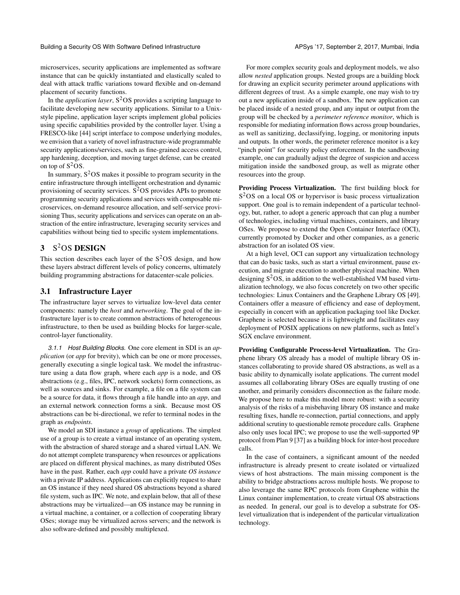Building a Security OS With Software Defined Infrastructure **APSys 17, September 2, 2017**, Mumbai, India

microservices, security applications are implemented as software instance that can be quickly instantiated and elastically scaled to deal with attack traffic variations toward flexible and on-demand placement of security functions.

In the *application layer*, S <sup>2</sup>OS provides a scripting language to facilitate developing new security applications. Similar to a Unixstyle pipeline, application layer scripts implement global policies using specific capabilities provided by the controller layer. Using a FRESCO-like [\[44\]](#page-7-7) script interface to compose underlying modules, we envision that a variety of novel infrastructure-wide programmable security applications/services, such as fine-grained access control, app hardening, deception, and moving target defense, can be created on top of  $S^2OS$ .

In summary,  $S<sup>2</sup>OS$  makes it possible to program security in the entire infrastructure through intelligent orchestration and dynamic provisioning of security services. S<sup>2</sup>OS provides APIs to promote programming security applications and services with composable microservices, on-demand resource allocation, and self-service provisioning Thus, security applications and services can operate on an abstraction of the entire infrastructure, leveraging security services and capabilities without being tied to specific system implementations.

## 3 S <sup>2</sup>OS DESIGN

This section describes each layer of the  $S<sup>2</sup>OS$  design, and how these layers abstract different levels of policy concerns, ultimately building programming abstractions for datacenter-scale policies.

#### 3.1 Infrastructure Layer

The infrastructure layer serves to virtualize low-level data center components: namely the *host* and *networking*. The goal of the infrastructure layer is to create common abstractions of heterogeneous infrastructure, to then be used as building blocks for larger-scale, control-layer functionality.

*3.1.1 Host Building Blocks.* One core element in SDI is an *application* (or *app* for brevity), which can be one or more processes, generally executing a single logical task. We model the infrastructure using a data flow graph, where each *app* is a node, and OS abstractions (e.g., files, IPC, network sockets) form connections, as well as sources and sinks. For example, a file on a file system can be a source for data, it flows through a file handle into an *app*, and an external network connection forms a sink. Because most OS abstractions can be bi-directional, we refer to terminal nodes in the graph as *endpoints*.

We model an SDI instance a *group* of applications. The simplest use of a group is to create a virtual instance of an operating system, with the abstraction of shared storage and a shared virtual LAN. We do not attempt complete transparency when resources or applications are placed on different physical machines, as many distributed OSes have in the past. Rather, each *app* could have a private *OS instance* with a private IP address. Applications can explicitly request to share an OS instance if they need shared OS abstractions beyond a shared file system, such as IPC. We note, and explain below, that all of these abstractions may be virtualized—an OS instance may be running in a virtual machine, a container, or a collection of cooperating library OSes; storage may be virtualized across servers; and the network is also software-defined and possibly multiplexed.

For more complex security goals and deployment models, we also allow *nested* application groups. Nested groups are a building block for drawing an explicit security perimeter around applications with different degrees of trust. As a simple example, one may wish to try out a new application inside of a sandbox. The new application can be placed inside of a nested group, and any input or output from the group will be checked by a *perimeter reference monitor*, which is responsible for mediating information flows across group boundaries, as well as sanitizing, declassifying, logging, or monitoring inputs and outputs. In other words, the perimeter reference monitor is a key "pinch point" for security policy enforcement. In the sandboxing example, one can gradually adjust the degree of suspicion and access mitigation inside the sandboxed group, as well as migrate other resources into the group.

Providing Process Virtualization. The first building block for S<sup>2</sup>OS on a local OS or hypervisor is basic process virtualization support. One goal is to remain independent of a particular technology, but, rather, to adopt a generic approach that can plug a number of technologies, including virtual machines, containers, and library OSes. We propose to extend the Open Container Interface (OCI), currently promoted by Docker and other companies, as a generic abstraction for an isolated OS view.

At a high level, OCI can support any virtualization technology that can do basic tasks, such as start a virtual environment, pause execution, and migrate execution to another physical machine. When designing  $S<sup>2</sup>OS$ , in addition to the well-established VM based virtualization technology, we also focus concretely on two other specific technologies: Linux Containers and the Graphene Library OS [\[49\]](#page-7-8). Containers offer a measure of efficiency and ease of deployment, especially in concert with an application packaging tool like Docker. Graphene is selected because it is lightweight and facilitates easy deployment of POSIX applications on new platforms, such as Intel's SGX enclave environment.

Providing Configurable Process-level Virtualization. The Graphene library OS already has a model of multiple library OS instances collaborating to provide shared OS abstractions, as well as a basic ability to dynamically isolate applications. The current model assumes all collaborating library OSes are equally trusting of one another, and primarily considers disconnection as the failure mode. We propose here to make this model more robust: with a security analysis of the risks of a misbehaving library OS instance and make resulting fixes, handle re-connection, partial connections, and apply additional scrutiny to questionable remote procedure calls. Graphene also only uses local IPC; we propose to use the well-supported 9P protocol from Plan 9 [\[37\]](#page-7-9) as a building block for inter-host procedure calls.

In the case of containers, a significant amount of the needed infrastructure is already present to create isolated or virtualized views of host abstractions. The main missing component is the ability to bridge abstractions across multiple hosts. We propose to also leverage the same RPC protocols from Graphene within the Linux container implementation, to create virtual OS abstractions as needed. In general, our goal is to develop a substrate for OSlevel virtualization that is independent of the particular virtualization technology.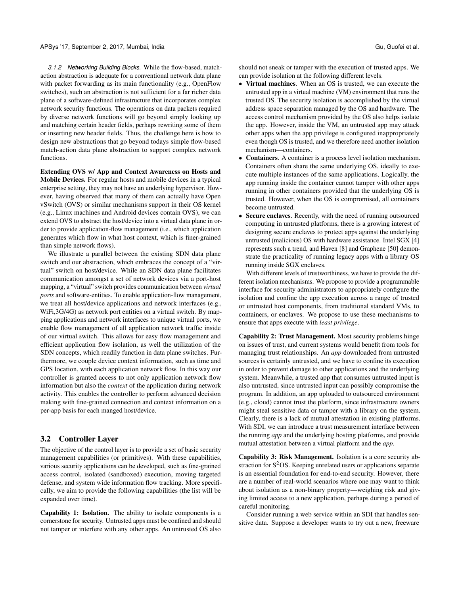*3.1.2 Networking Building Blocks.* While the flow-based, matchaction abstraction is adequate for a conventional network data plane with packet forwarding as its main functionality (e.g., OpenFlow switches), such an abstraction is not sufficient for a far richer data plane of a software-defined infrastructure that incorporates complex network security functions. The operations on data packets required by diverse network functions will go beyond simply looking up and matching certain header fields, perhaps rewriting some of them or inserting new header fields. Thus, the challenge here is how to design new abstractions that go beyond todays simple flow-based match-action data plane abstraction to support complex network functions.

Extending OVS w/ App and Context Awareness on Hosts and Mobile Devices. For regular hosts and mobile devices in a typical enterprise setting, they may not have an underlying hypervisor. However, having observed that many of them can actually have Open vSwitch (OVS) or similar mechanisms support in their OS kernel (e.g., Linux machines and Android devices contain OVS), we can extend OVS to abstract the host/device into a virtual data plane in order to provide application-flow management (i.e., which application generates which flow in what host context, which is finer-grained than simple network flows).

We illustrate a parallel between the existing SDN data plane switch and our abstraction, which embraces the concept of a "virtual" switch on host/device. While an SDN data plane facilitates communication amongst a set of network devices via a port-host mapping, a "virtual" switch provides communication between *virtual ports* and software-entities. To enable application-flow management, we treat all host/device applications and network interfaces (e.g., WiFi,3G/4G) as network port entities on a virtual switch. By mapping applications and network interfaces to unique virtual ports, we enable flow management of all application network traffic inside of our virtual switch. This allows for easy flow management and efficient application flow isolation, as well the utilization of the SDN concepts, which readily function in data plane switches. Furthermore, we couple device context information, such as time and GPS location, with each application network flow. In this way our controller is granted access to not only application network flow information but also the *context* of the application during network activity. This enables the controller to perform advanced decision making with fine-grained connection and context information on a per-app basis for each manged host/device.

#### 3.2 Controller Layer

The objective of the control layer is to provide a set of basic security management capabilities (or primitives). With these capabilities, various security applications can be developed, such as fine-grained access control, isolated (sandboxed) execution, moving targeted defense, and system wide information flow tracking. More specifically, we aim to provide the following capabilities (the list will be expanded over time).

Capability 1: Isolation. The ability to isolate components is a cornerstone for security. Untrusted apps must be confined and should not tamper or interfere with any other apps. An untrusted OS also

should not sneak or tamper with the execution of trusted apps. We can provide isolation at the following different levels.

- Virtual machines. When an OS is trusted, we can execute the untrusted app in a virtual machine (VM) environment that runs the trusted OS. The security isolation is accomplished by the virtual address space separation managed by the OS and hardware. The access control mechanism provided by the OS also helps isolate the app. However, inside the VM, an untrusted app may attack other apps when the app privilege is configured inappropriately even though OS is trusted, and we therefore need another isolation mechanism—containers.
- Containers. A container is a process level isolation mechanism. Containers often share the same underlying OS, ideally to execute multiple instances of the same applications, Logically, the app running inside the container cannot tamper with other apps running in other containers provided that the underlying OS is trusted. However, when the OS is compromised, all containers become untrusted.
- Secure enclaves. Recently, with the need of running outsourced computing in untrusted platforms, there is a growing interest of designing secure enclaves to protect apps against the underlying untrusted (malicious) OS with hardware assistance. Intel SGX [\[4\]](#page-6-1) represents such a trend, and Haven [\[8\]](#page-6-2) and Graphene [\[50\]](#page-7-10) demonstrate the practicality of running legacy apps with a library OS running inside SGX enclaves.

With different levels of trustworthiness, we have to provide the different isolation mechanisms. We propose to provide a programmable interface for security administrators to appropriately configure the isolation and confine the app execution across a range of trusted or untrusted host components, from traditional standard VMs, to containers, or enclaves. We propose to use these mechanisms to ensure that apps execute with *least privilege*.

Capability 2: Trust Management. Most security problems hinge on issues of trust, and current systems would benefit from tools for managing trust relationships. An *app* downloaded from untrusted sources is certainly untrusted, and we have to confine its execution in order to prevent damage to other applications and the underlying system. Meanwhile, a trusted app that consumes untrusted input is also untrusted, since untrusted input can possibly compromise the program. In addition, an app uploaded to outsourced environment (e.g., cloud) cannot trust the platform, since infrastructure owners might steal sensitive data or tamper with a library on the system. Clearly, there is a lack of mutual attestation in existing platforms. With SDI, we can introduce a trust measurement interface between the running *app* and the underlying hosting platforms, and provide mutual attestation between a virtual platform and the *app*.

Capability 3: Risk Management. Isolation is a core security abstraction for  $S<sup>2</sup>OS$ . Keeping unrelated users or applications separate is an essential foundation for end-to-end security. However, there are a number of real-world scenarios where one may want to think about isolation as a non-binary property—weighing risk and giving limited access to a new application, perhaps during a period of careful monitoring.

Consider running a web service within an SDI that handles sensitive data. Suppose a developer wants to try out a new, freeware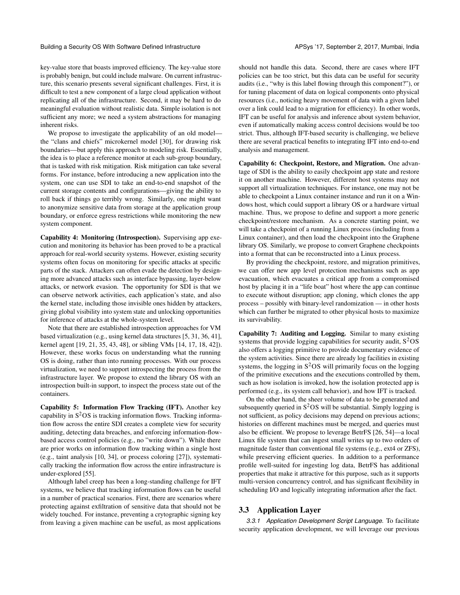Building a Security OS With Software Defined Infrastructure **APSys 17, September 2, 2017**, Mumbai, India

key-value store that boasts improved efficiency. The key-value store is probably benign, but could include malware. On current infrastructure, this scenario presents several significant challenges. First, it is difficult to test a new component of a large cloud application without replicating all of the infrastructure. Second, it may be hard to do meaningful evaluation without realistic data. Simple isolation is not sufficient any more; we need a system abstractions for managing inherent risks.

We propose to investigate the applicability of an old model the "clans and chiefs" microkernel model [\[30\]](#page-7-11), for drawing risk boundaries—but apply this approach to modeling risk. Essentially, the idea is to place a reference monitor at each sub-group boundary, that is tasked with risk mitigation. Risk mitigation can take several forms. For instance, before introducing a new application into the system, one can use SDI to take an end-to-end snapshot of the current storage contents and configurations—giving the ability to roll back if things go terribly wrong. Similarly, one might want to anonymize sensitive data from storage at the application group boundary, or enforce egress restrictions while monitoring the new system component.

Capability 4: Monitoring (Introspection). Supervising app execution and monitoring its behavior has been proved to be a practical approach for real-world security systems. However, existing security systems often focus on monitoring for specific attacks at specific parts of the stack. Attackers can often evade the detection by designing more advanced attacks such as interface bypassing, layer-below attacks, or network evasion. The opportunity for SDI is that we can observe network activities, each application's state, and also the kernel state, including those invisible ones hidden by attackers, giving global visibility into system state and unlocking opportunities for inference of attacks at the whole-system level.

Note that there are established introspection approaches for VM based virtualization (e.g., using kernel data structures [\[5,](#page-6-3) [31,](#page-7-12) [36,](#page-7-13) [41\]](#page-7-14), kernel agent [\[19,](#page-7-15) [21,](#page-7-16) [35,](#page-7-17) [43,](#page-7-18) [48\]](#page-7-19), or sibling VMs [\[14,](#page-7-20) [17,](#page-7-21) [18,](#page-7-22) [42\]](#page-7-23)). However, these works focus on understanding what the running OS is doing, rather than into running processes. With our process virtualization, we need to support introspecting the process from the infrastructure layer. We propose to extend the library OS with an introspection built-in support, to inspect the process state out of the containers.

Capability 5: Information Flow Tracking (IFT). Another key capability in  $S^2OS$  is tracking information flows. Tracking information flow across the entire SDI creates a complete view for security auditing, detecting data breaches, and enforcing information-flowbased access control policies (e.g., no "write down"). While there are prior works on information flow tracking within a single host (e.g., taint analysis [\[10,](#page-6-4) [34\]](#page-7-24), or process coloring [\[27\]](#page-7-25)), systematically tracking the information flow across the entire infrastructure is under-explored [\[55\]](#page-7-26).

Although label creep has been a long-standing challenge for IFT systems, we believe that tracking information flows can be useful in a number of practical scenarios. First, there are scenarios where protecting against exfiltration of sensitive data that should not be widely touched. For instance, preventing a crytographic signing key from leaving a given machine can be useful, as most applications

should not handle this data. Second, there are cases where IFT policies can be too strict, but this data can be useful for security audits (i.e., "why is this label flowing through this component?"), or for tuning placement of data on logical components onto physical resources (i.e., noticing heavy movement of data with a given label over a link could lead to a migration for efficiency). In other words, IFT can be useful for analysis and inference about system behavior, even if automatically making access control decisions would be too strict. Thus, although IFT-based security is challenging, we believe there are several practical benefits to integrating IFT into end-to-end analysis and management.

Capability 6: Checkpoint, Restore, and Migration. One advantage of SDI is the ability to easily checkpoint app state and restore it on another machine. However, different host systems may not support all virtualization techniques. For instance, one may not be able to checkpoint a Linux container instance and run it on a Windows host, which could support a library OS or a hardware virtual machine. Thus, we propose to define and support a more generic checkpoint/restore mechanism. As a concrete starting point, we will take a checkpoint of a running Linux process (including from a Linux container), and then load the checkpoint into the Graphene library OS. Similarly, we propose to convert Graphene checkpoints into a format that can be reconstructed into a Linux process.

By providing the checkpoint, restore, and migration primitives, we can offer new app level protection mechanisms such as app evacuation, which evacuates a critical app from a compromised host by placing it in a "life boat" host where the app can continue to execute without disruption; app cloning, which clones the app process – possibly with binary-level randomization — in other hosts which can further be migrated to other physical hosts to maximize its survivability.

Capability 7: Auditing and Logging. Similar to many existing systems that provide logging capabilities for security audit,  $S<sup>2</sup>OS$ also offers a logging primitive to provide documentary evidence of the system activities. Since there are already log facilities in existing systems, the logging in  $S<sup>2</sup>OS$  will primarily focus on the logging of the primitive executions and the executions controlled by them, such as how isolation is invoked, how the isolation protected app is performed (e.g., its system call behavior), and how IFT is tracked.

On the other hand, the sheer volume of data to be generated and subsequently queried in  $S^2OS$  will be substantial. Simply logging is not sufficient, as policy decisions may depend on previous actions; histories on different machines must be merged, and queries must also be efficient. We propose to leverage BetrFS [\[26,](#page-7-27) [54\]](#page-7-28)—a local Linux file system that can ingest small writes up to two orders of magnitude faster than conventional file systems (e.g., ext4 or ZFS), while preserving efficient queries. In addition to a performance profile well-suited for ingesting log data, BetrFS has additional properties that make it attractive for this purpose, such as it supports multi-version concurrency control, and has significant flexibility in scheduling I/O and logically integrating information after the fact.

#### 3.3 Application Layer

*3.3.1 Application Development Script Language.* To facilitate security application development, we will leverage our previous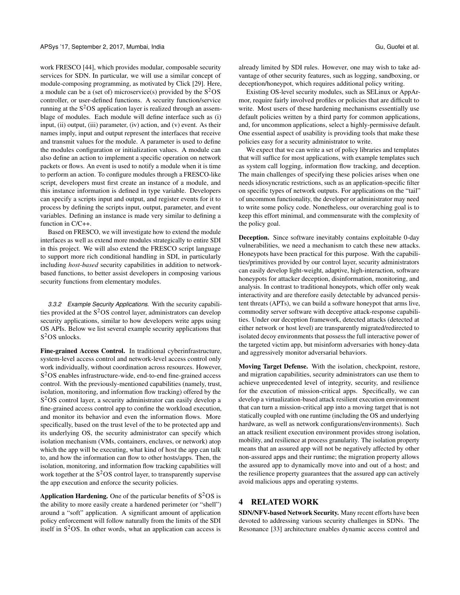work FRESCO [\[44\]](#page-7-7), which provides modular, composable security services for SDN. In particular, we will use a similar concept of module-composing programming, as motivated by Click [\[29\]](#page-7-29). Here, a module can be a (set of) microservice(s) provided by the  $S<sup>2</sup>OS$ controller, or user-defined functions. A security function/service running at the  $S<sup>2</sup>OS$  application layer is realized through an assemblage of modules. Each module will define interface such as (i) input,  $(ii)$  output,  $(iii)$  parameter,  $(iv)$  action, and  $(v)$  event. As their names imply, input and output represent the interfaces that receive and transmit values for the module. A parameter is used to define the modules configuration or initialization values. A module can also define an action to implement a specific operation on network packets or flows. An event is used to notify a module when it is time to perform an action. To configure modules through a FRESCO-like script, developers must first create an instance of a module, and this instance information is defined in type variable. Developers can specify a scripts input and output, and register events for it to process by defining the scripts input, output, parameter, and event variables. Defining an instance is made very similar to defining a function in C/C++.

Based on FRESCO, we will investigate how to extend the module interfaces as well as extend more modules strategically to entire SDI in this project. We will also extend the FRESCO script language to support more rich conditional handling in SDI, in particularly including *host-based* security capabilities in addition to networkbased functions, to better assist developers in composing various security functions from elementary modules.

*3.3.2 Example Security Applications.* With the security capabilities provided at the  $S<sup>2</sup>OS$  control layer, administrators can develop security applications, similar to how developers write apps using OS APIs. Below we list several example security applications that S<sup>2</sup>OS unlocks.

Fine-grained Access Control. In traditional cyberinfrastructure, system-level access control and network-level access control only work individually, without coordination across resources. However, S<sup>2</sup>OS enables infrastructure-wide, end-to-end fine-grained access control. With the previously-mentioned capabilities (namely, trust, isolation, monitoring, and information flow tracking) offered by the S<sup>2</sup>OS control layer, a security administrator can easily develop a fine-grained access control app to confine the workload execution, and monitor its behavior and even the information flows. More specifically, based on the trust level of the to be protected app and its underlying OS, the security administrator can specify which isolation mechanism (VMs, containers, enclaves, or network) atop which the app will be executing, what kind of host the app can talk to, and how the information can flow to other hosts/apps. Then, the isolation, monitoring, and information flow tracking capabilities will work together at the  $S^2$ OS control layer, to transparently supervise the app execution and enforce the security policies.

**Application Hardening.** One of the particular benefits of  $S^2OS$  is the ability to more easily create a hardened perimeter (or "shell") around a "soft" application. A significant amount of application policy enforcement will follow naturally from the limits of the SDI itself in  $S<sup>2</sup>OS$ . In other words, what an application can access is

already limited by SDI rules. However, one may wish to take advantage of other security features, such as logging, sandboxing, or deception/honeypot, which requires additional policy writing.

Existing OS-level security modules, such as SELinux or AppArmor, require fairly involved profiles or policies that are difficult to write. Most users of these hardening mechanisms essentially use default policies written by a third party for common applications, and, for uncommon applications, select a highly-permissive default. One essential aspect of usability is providing tools that make these policies easy for a security administrator to write.

We expect that we can write a set of policy libraries and templates that will suffice for most applications, with example templates such as system call logging, information flow tracking, and deception. The main challenges of specifying these policies arises when one needs idiosyncratic restrictions, such as an application-specific filter on specific types of network outputs. For applications on the "tail" of uncommon functionality, the developer or administrator may need to write some policy code. Nonetheless, our overarching goal is to keep this effort minimal, and commensurate with the complexity of the policy goal.

Deception. Since software inevitably contains exploitable 0-day vulnerabilities, we need a mechanism to catch these new attacks. Honeypots have been practical for this purpose. With the capabilities/primitives provided by our control layer, security administrators can easily develop light-weight, adaptive, high-interaction, software honeypots for attacker deception, disinformation, monitoring, and analysis. In contrast to traditional honeypots, which offer only weak interactivity and are therefore easily detectable by advanced persistent threats (APTs), we can build a software honeypot that arms live, commodity server software with deceptive attack-response capabilities. Under our deception framework, detected attacks (detected at either network or host level) are transparently migrated/redirected to isolated decoy environments that possess the full interactive power of the targeted victim app, but misinform adversaries with honey-data and aggressively monitor adversarial behaviors.

Moving Target Defense. With the isolation, checkpoint, restore, and migration capabilities, security administrators can use them to achieve unprecedented level of integrity, security, and resilience for the execution of mission-critical apps. Specifically, we can develop a virtualization-based attack resilient execution environment that can turn a mission-critical app into a moving target that is not statically coupled with one runtime (including the OS and underlying hardware, as well as network configurations/environments). Such an attack resilient execution environment provides strong isolation, mobility, and resilience at process granularity. The isolation property means that an assured app will not be negatively affected by other non-assured apps and their runtime; the migration property allows the assured app to dynamically move into and out of a host; and the resilience property guarantees that the assured app can actively avoid malicious apps and operating systems.

## 4 RELATED WORK

SDN/NFV-based Network Security. Many recent efforts have been devoted to addressing various security challenges in SDNs. The Resonance [\[33\]](#page-7-30) architecture enables dynamic access control and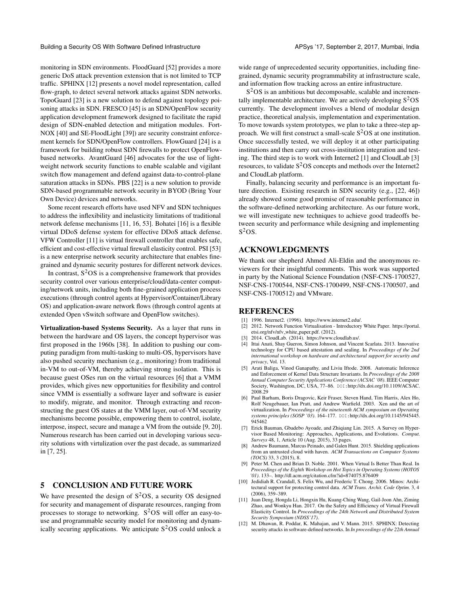monitoring in SDN environments. FloodGuard [\[52\]](#page-7-31) provides a more generic DoS attack prevention extension that is not limited to TCP traffic. SPHINX [\[12\]](#page-6-5) presents a novel model representation, called flow-graph, to detect several network attacks against SDN networks. TopoGuard [\[23\]](#page-7-32) is a new solution to defend against topology poisoning attacks in SDN. FRESCO [\[45\]](#page-7-33) is an SDN/OpenFlow security application development framework designed to facilitate the rapid design of SDN-enabled detection and mitigation modules. Fort-NOX [\[40\]](#page-7-34) and SE-FloodLight [\[39\]](#page-7-35)) are security constraint enforcement kernels for SDN/OpenFlow controllers. FlowGuard [\[24\]](#page-7-36) is a framework for building robust SDN firewalls to protect OpenFlowbased networks. AvantGuard [\[46\]](#page-7-37) advocates for the use of lightweight network security functions to enable scalable and vigilant switch flow management and defend against data-to-control-plane saturation attacks in SDNs. PBS [\[22\]](#page-7-38) is a new solution to provide SDN-based programmable network security in BYOD (Bring Your Own Device) devices and networks.

Some recent research efforts have used NFV and SDN techniques to address the inflexibility and inelasticity limitations of traditional network defense mechanisms [\[11,](#page-6-6) [16,](#page-7-39) [53\]](#page-7-40). Bohatei [\[16\]](#page-7-39) is a flexible virtual DDoS defense system for effective DDoS attack defense. VFW Controller [\[11\]](#page-6-6) is virtual firewall controller that enables safe, efficient and cost-effective virtual firewall elasticity control. PSI [\[53\]](#page-7-40) is a new enterprise network security architecture that enables finegrained and dynamic security postures for different network devices.

In contrast,  $S^2OS$  is a comprehensive framework that provides security control over various enterprise/cloud/data-center computing/network units, including both fine-grained application process executions (through control agents at Hypervisor/Container/Library OS) and application-aware network flows (through control agents at extended Open vSwitch software and OpenFlow switches).

Virtualization-based Systems Security. As a layer that runs in between the hardware and OS layers, the concept hypervisor was first proposed in the 1960s [\[38\]](#page-7-41). In addition to pushing our computing paradigm from multi-tasking to multi-OS, hypervisors have also pushed security mechanism (e.g., monitoring) from traditional in-VM to out-of-VM, thereby achieving strong isolation. This is because guest OSes run on the virtual resources [\[6\]](#page-6-7) that a VMM provides, which gives new opportunities for flexibility and control since VMM is essentially a software layer and software is easier to modify, migrate, and monitor. Through extracting and reconstructing the guest OS states at the VMM layer, out-of-VM security mechanisms become possible, empowering them to control, isolate, interpose, inspect, secure and manage a VM from the outside [\[9,](#page-6-8) [20\]](#page-7-42). Numerous research has been carried out in developing various security solutions with virtulization over the past decade, as summarized in [\[7,](#page-6-9) [25\]](#page-7-43).

## 5 CONCLUSION AND FUTURE WORK

We have presented the design of  $S^2OS$ , a security OS designed for security and management of disparate resources, ranging from processes to storage to networking.  $S<sup>2</sup>OS$  will offer an easy-touse and programmable security model for monitoring and dynamically securing applications. We anticipate  $S<sup>2</sup>OS$  could unlock a

wide range of unprecedented security opportunities, including finegrained, dynamic security programmability at infrastructure scale, and information flow tracking across an entire infrastructure.

 $S<sup>2</sup>OS$  is an ambitious but decomposable, scalable and incrementally implementable architecture. We are actively developing  $S<sup>2</sup>OS$ currently. The development involves a blend of modular design practice, theoretical analysis, implementation and experimentation. To move towards system prototypes, we plan to take a three-step approach. We will first construct a small-scale  $S<sup>2</sup>OS$  at one institution. Once successfully tested, we will deploy it at other participating institutions and then carry out cross-institution integration and testing. The third step is to work with Internet2 [\[1\]](#page-6-10) and CloudLab [\[3\]](#page-6-11) resources, to validate  $S^2$ OS concepts and methods over the Internet2 and CloudLab platform.

Finally, balancing security and performance is an important future direction. Existing research in SDN security (e.g., [\[22,](#page-7-38) [46\]](#page-7-37)) already showed some good promise of reasonable performance in the software-defined networking architecture. As our future work, we will investigate new techniques to achieve good tradeoffs between security and performance while designing and implementing  $S^2OS$ .

#### ACKNOWLEDGMENTS

We thank our shepherd Ahmed Ali-Eldin and the anonymous reviewers for their insightful comments. This work was supported in party by the National Science Foundation (NSF-CNS-1700527, NSF-CNS-1700544, NSF-CNS-1700499, NSF-CNS-1700507, and NSF-CNS-1700512) and VMware.

#### REFERENCES

- <span id="page-6-10"></span>[1] 1996. Internet2. (1996). [https://www.internet2.edu/.](https://www.internet2.edu/)
- <span id="page-6-0"></span>[2] 2012. Network Function Virtualisation - Introductory White Paper. [https://portal.](https://portal.etsi.org/nfv/nfv_white_paper.pdf) [etsi.org/nfv/nfv](https://portal.etsi.org/nfv/nfv_white_paper.pdf) white paper.pdf. (2012).
- <span id="page-6-11"></span>2014. CloudLab. (2014). [https://www.cloudlab.us/.](https://www.cloudlab.us/)
- <span id="page-6-1"></span>[4] Ittai Anati, Shay Gueron, Simon Johnson, and Vincent Scarlata. 2013. Innovative technology for CPU based attestation and sealing. In *Proceedings of the 2nd international workshop on hardware and architectural support for security and privacy*, Vol. 13.
- <span id="page-6-3"></span>[5] Arati Baliga, Vinod Ganapathy, and Liviu Iftode. 2008. Automatic Inference and Enforcement of Kernel Data Structure Invariants. In *Proceedings of the 2008 Annual Computer Security Applications Conference (ACSAC '08)*. IEEE Computer Society, Washington, DC, USA, 77–86. DOI:[http://dx.doi.org/10.1109/ACSAC.](http://dx.doi.org/10.1109/ACSAC.2008.29) [2008.29](http://dx.doi.org/10.1109/ACSAC.2008.29)
- <span id="page-6-7"></span>[6] Paul Barham, Boris Dragovic, Keir Fraser, Steven Hand, Tim Harris, Alex Ho, Rolf Neugebauer, Ian Pratt, and Andrew Warfield. 2003. Xen and the art of virtualization. In *Proceedings of the nineteenth ACM symposium on Operating systems principles (SOSP '03)*. 164–177. DOI:[http://dx.doi.org/10.1145/945445.](http://dx.doi.org/10.1145/945445.945462) [945462](http://dx.doi.org/10.1145/945445.945462)
- <span id="page-6-9"></span>[7] Erick Bauman, Gbadebo Ayoade, and Zhiqiang Lin. 2015. A Survey on Hypervisor Based Monitoring: Approaches, Applications, and Evolutions. *Comput. Surveys* 48, 1, Article 10 (Aug. 2015), 33 pages.
- <span id="page-6-2"></span>[8] Andrew Baumann, Marcus Peinado, and Galen Hunt. 2015. Shielding applications from an untrusted cloud with haven. *ACM Transactions on Computer Systems (TOCS)* 33, 3 (2015), 8.
- <span id="page-6-8"></span>[9] Peter M. Chen and Brian D. Noble. 2001. When Virtual Is Better Than Real. In *Proceedings of the Eighth Workshop on Hot Topics in Operating Systems (HOTOS '01)*. 133–.<http://dl.acm.org/citation.cfm?id=874075.876409>
- <span id="page-6-4"></span>[10] Jedidiah R. Crandall, S. Felix Wu, and Frederic T. Chong. 2006. Minos: Architectural support for protecting control data. *ACM Trans. Archit. Code Optim.* 3, 4 (2006), 359–389.
- <span id="page-6-6"></span>[11] Juan Deng, Hongda Li, Hongxin Hu, Kuang-Ching Wang, Gail-Joon Ahn, Ziming Zhao, and Wonkyu Han. 2017. On the Safety and Efficiency of Virtual Firewall Elasticity Control. In *Proceedings of the 24th Network and Distributed System Security Symposium (NDSS'17)*.
- <span id="page-6-5"></span>[12] M. Dhawan, R. Poddar, K. Mahajan, and V. Mann. 2015. SPHINX: Detecting security attacks in software-defined networks. In *In proceedings of the 22th Annual*